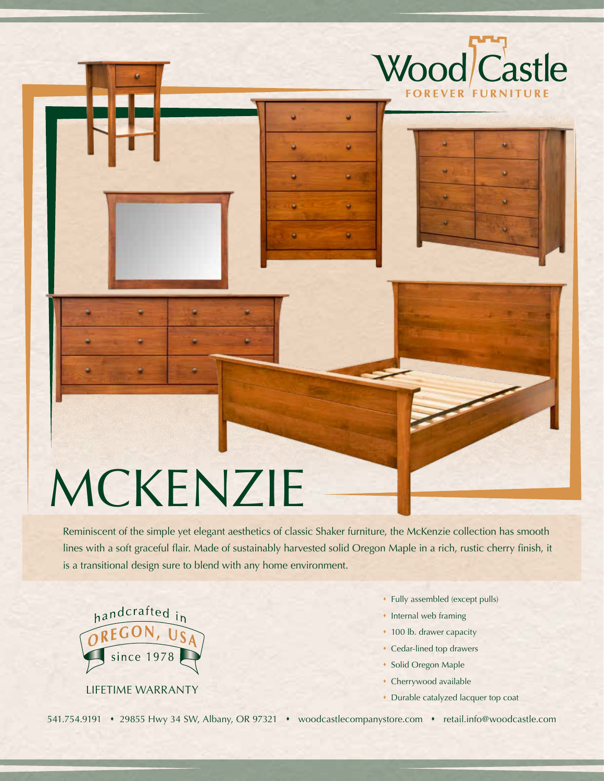## MCKENZIE

Reminiscent of the simple yet elegant aesthetics of classic Shaker furniture, the McKenzie collection has smooth lines with a soft graceful flair. Made of sustainably harvested solid Oregon Maple in a rich, rustic cherry finish, it is a transitional design sure to blend with any home environment.

۰

٠

٠



� Fully assembled (except pulls)

Wood Castle

**FOREVER FURNITU** 

٠

- � Internal web framing
- ◆ 100 lb. drawer capacity
- � Cedar-lined top drawers
- � Solid Oregon Maple
- � Cherrywood available
- � Durable catalyzed lacquer top coat

541.754.9191 • 29855 Hwy 34 SW, Albany, OR 97321 • woodcastlecompanystore.com • retail.info@woodcastle.com